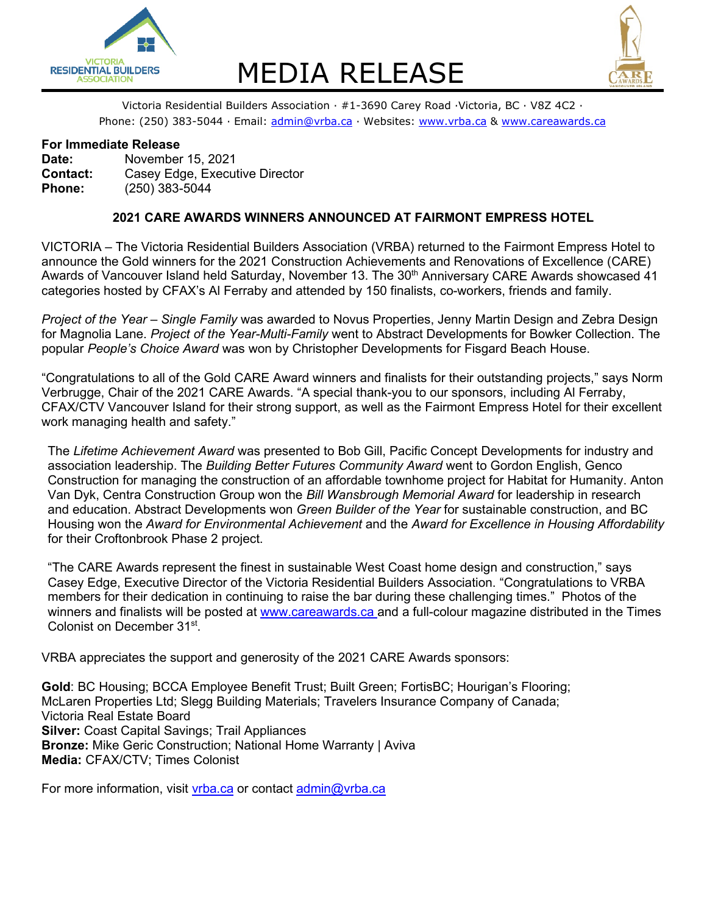

# RESIDENTIAL BUILDERS MEDIA RELEASE<br>Victoria Residential Builders Association · #1-3690 Carey Road ·Victoria, BC · V8Z 4C2 ·



Phone: (250) 383-5044 · Email: [admin@vrba.ca](mailto:admin@vrba.ca) · Websites: [www.vrba.ca](http://www.vrba.ca/) & [www.careawards.ca](http://www.careawards.ca/)

### **For Immediate Release**

**Date:** November 15, 2021 **Contact:** Casey Edge, Executive Director **Phone:** (250) 383-5044

## **2021 CARE AWARDS WINNERS ANNOUNCED AT FAIRMONT EMPRESS HOTEL**

VICTORIA – The Victoria Residential Builders Association (VRBA) returned to the Fairmont Empress Hotel to announce the Gold winners for the 2021 Construction Achievements and Renovations of Excellence (CARE) Awards of Vancouver Island held Saturday, November 13. The 30<sup>th</sup> Anniversary CARE Awards showcased 41 categories hosted by CFAX's Al Ferraby and attended by 150 finalists, co-workers, friends and family.

*Project of the Year – Single Family* was awarded to Novus Properties, Jenny Martin Design and Zebra Design for Magnolia Lane. *Project of the Year-Multi-Family* went to Abstract Developments for Bowker Collection. The popular *People's Choice Award* was won by Christopher Developments for Fisgard Beach House.

"Congratulations to all of the Gold CARE Award winners and finalists for their outstanding projects," says Norm Verbrugge, Chair of the 2021 CARE Awards. "A special thank-you to our sponsors, including Al Ferraby, CFAX/CTV Vancouver Island for their strong support, as well as the Fairmont Empress Hotel for their excellent work managing health and safety."

The *Lifetime Achievement Award* was presented to Bob Gill, Pacific Concept Developments for industry and association leadership. The *Building Better Futures Community Award* went to Gordon English, Genco Construction for managing the construction of an affordable townhome project for Habitat for Humanity. Anton Van Dyk, Centra Construction Group won the *Bill Wansbrough Memorial Award* for leadership in research and education. Abstract Developments won *Green Builder of the Year* for sustainable construction, and BC Housing won the *Award for Environmental Achievement* and the *Award for Excellence in Housing Affordability* for their Croftonbrook Phase 2 project.

"The CARE Awards represent the finest in sustainable West Coast home design and construction," says Casey Edge, Executive Director of the Victoria Residential Builders Association. "Congratulations to VRBA members for their dedication in continuing to raise the bar during these challenging times." Photos of the winners and finalists will be posted at [www.careawards.ca](http://www.careawards.ca/) and a full-colour magazine distributed in the Times Colonist on December 31st.

VRBA appreciates the support and generosity of the 2021 CARE Awards sponsors:

**Gold**: BC Housing; BCCA Employee Benefit Trust; Built Green; FortisBC; Hourigan's Flooring; McLaren Properties Ltd; Slegg Building Materials; Travelers Insurance Company of Canada; Victoria Real Estate Board **Silver:** Coast Capital Savings; Trail Appliances **Bronze:** Mike Geric Construction; National Home Warranty | Aviva **Media:** CFAX/CTV; Times Colonist

For more information, visit [vrba.ca](https://www.vrba.ca/) or contact [admin@vrba.ca](mailto:admin@vrba.ca)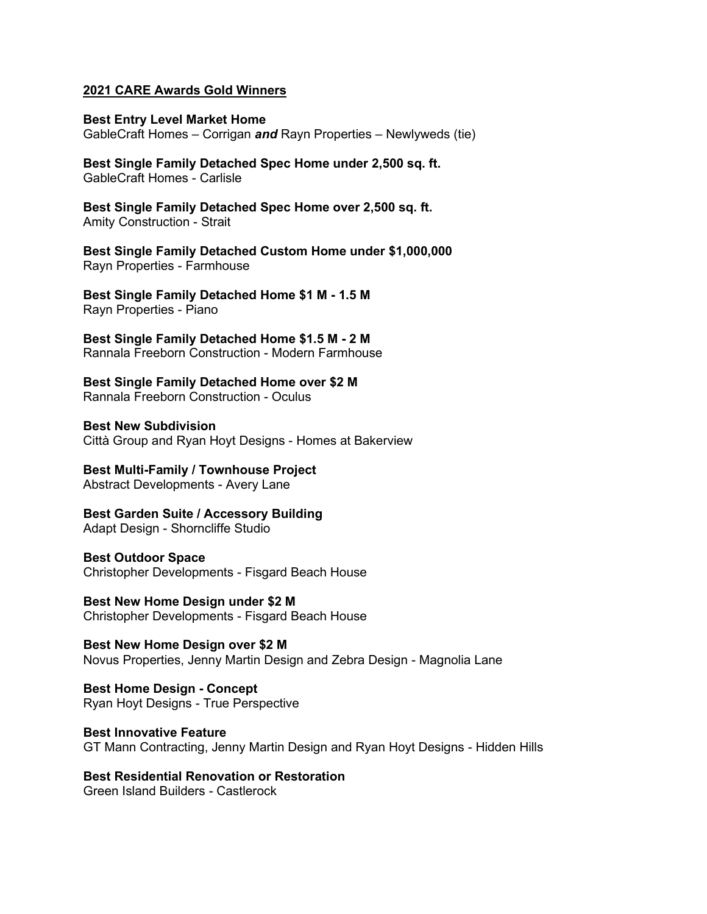### **2021 CARE Awards Gold Winners**

**Best Entry Level Market Home** GableCraft Homes – Corrigan *and* Rayn Properties – Newlyweds (tie)

**Best Single Family Detached Spec Home under 2,500 sq. ft.** GableCraft Homes - Carlisle

**Best Single Family Detached Spec Home over 2,500 sq. ft.** Amity Construction - Strait

**Best Single Family Detached Custom Home under \$1,000,000** Rayn Properties - Farmhouse

**Best Single Family Detached Home \$1 M - 1.5 M** Rayn Properties - Piano

**Best Single Family Detached Home \$1.5 M - 2 M** Rannala Freeborn Construction - Modern Farmhouse

**Best Single Family Detached Home over \$2 M** Rannala Freeborn Construction - Oculus

**Best New Subdivision** Città Group and Ryan Hoyt Designs - Homes at Bakerview

**Best Multi-Family / Townhouse Project** Abstract Developments - Avery Lane

**Best Garden Suite / Accessory Building** Adapt Design - Shorncliffe Studio

**Best Outdoor Space** Christopher Developments - Fisgard Beach House

**Best New Home Design under \$2 M** Christopher Developments - Fisgard Beach House

**Best New Home Design over \$2 M** Novus Properties, Jenny Martin Design and Zebra Design - Magnolia Lane

**Best Home Design - Concept** Ryan Hoyt Designs - True Perspective

**Best Innovative Feature** GT Mann Contracting, Jenny Martin Design and Ryan Hoyt Designs - Hidden Hills

**Best Residential Renovation or Restoration** Green Island Builders - Castlerock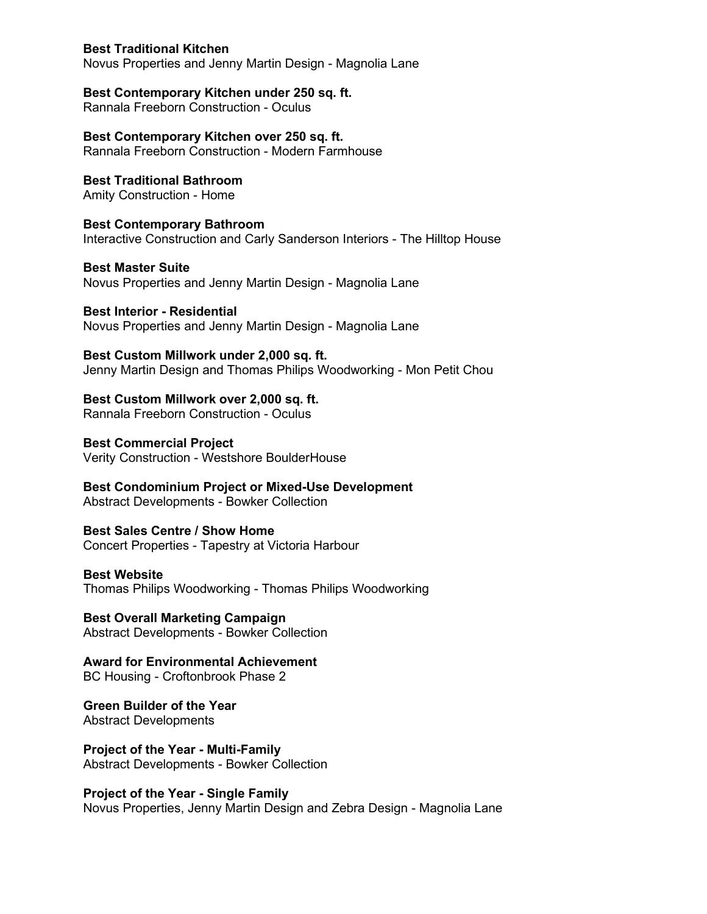## **Best Traditional Kitchen**

Novus Properties and Jenny Martin Design - Magnolia Lane

# **Best Contemporary Kitchen under 250 sq. ft.**

Rannala Freeborn Construction - Oculus

**Best Contemporary Kitchen over 250 sq. ft.** Rannala Freeborn Construction - Modern Farmhouse

**Best Traditional Bathroom** Amity Construction - Home

**Best Contemporary Bathroom** Interactive Construction and Carly Sanderson Interiors - The Hilltop House

**Best Master Suite** Novus Properties and Jenny Martin Design - Magnolia Lane

**Best Interior - Residential** Novus Properties and Jenny Martin Design - Magnolia Lane

**Best Custom Millwork under 2,000 sq. ft.** Jenny Martin Design and Thomas Philips Woodworking - Mon Petit Chou

**Best Custom Millwork over 2,000 sq. ft.** Rannala Freeborn Construction - Oculus

**Best Commercial Project** Verity Construction - Westshore BoulderHouse

**Best Condominium Project or Mixed-Use Development** Abstract Developments - Bowker Collection

**Best Sales Centre / Show Home** Concert Properties - Tapestry at Victoria Harbour

## **Best Website**

Thomas Philips Woodworking - Thomas Philips Woodworking

**Best Overall Marketing Campaign** Abstract Developments - Bowker Collection

**Award for Environmental Achievement** BC Housing - Croftonbrook Phase 2

**Green Builder of the Year** Abstract Developments

**Project of the Year - Multi-Family** Abstract Developments - Bowker Collection

**Project of the Year - Single Family** Novus Properties, Jenny Martin Design and Zebra Design - Magnolia Lane